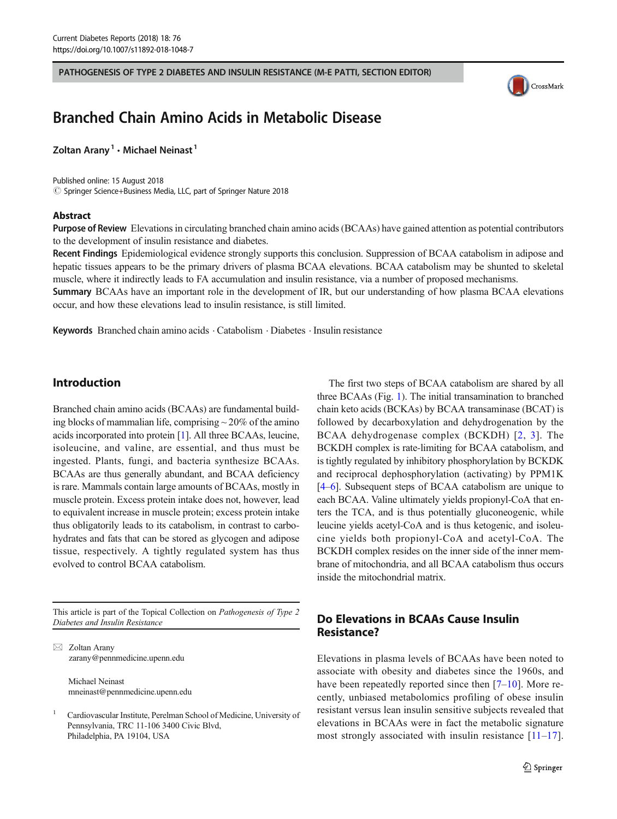PATHOGENESIS OF TYPE 2 DIABETES AND INSULIN RESISTANCE (M-E PATTI, SECTION EDITOR)



# Branched Chain Amino Acids in Metabolic Disease

Zoltan Arany<sup>1</sup>  $\cdot$  Michael Neinast<sup>1</sup>

Published online: 15 August 2018  $\oslash$  Springer Science+Business Media, LLC, part of Springer Nature 2018

#### Abstract

Purpose of Review Elevations in circulating branched chain amino acids (BCAAs) have gained attention as potential contributors to the development of insulin resistance and diabetes.

Recent Findings Epidemiological evidence strongly supports this conclusion. Suppression of BCAA catabolism in adipose and hepatic tissues appears to be the primary drivers of plasma BCAA elevations. BCAA catabolism may be shunted to skeletal muscle, where it indirectly leads to FA accumulation and insulin resistance, via a number of proposed mechanisms.

Summary BCAAs have an important role in the development of IR, but our understanding of how plasma BCAA elevations occur, and how these elevations lead to insulin resistance, is still limited.

Keywords Branched chain amino acids · Catabolism · Diabetes · Insulin resistance

#### Introduction

Branched chain amino acids (BCAAs) are fundamental building blocks of mammalian life, comprising  $\sim$  20% of the amino acids incorporated into protein [\[1](#page-5-0)]. All three BCAAs, leucine, isoleucine, and valine, are essential, and thus must be ingested. Plants, fungi, and bacteria synthesize BCAAs. BCAAs are thus generally abundant, and BCAA deficiency is rare. Mammals contain large amounts of BCAAs, mostly in muscle protein. Excess protein intake does not, however, lead to equivalent increase in muscle protein; excess protein intake thus obligatorily leads to its catabolism, in contrast to carbohydrates and fats that can be stored as glycogen and adipose tissue, respectively. A tightly regulated system has thus evolved to control BCAA catabolism.

This article is part of the Topical Collection on Pathogenesis of Type 2 Diabetes and Insulin Resistance

 $\boxtimes$  Zoltan Arany [zarany@pennmedicine.upenn.edu](mailto:zarany@pennmedicine.upenn.edu)

> Michael Neinast mneinast@pennmedicine.upenn.edu

<sup>1</sup> Cardiovascular Institute, Perelman School of Medicine, University of Pennsylvania, TRC 11-106 3400 Civic Blvd, Philadelphia, PA 19104, USA

The first two steps of BCAA catabolism are shared by all three BCAAs (Fig. [1\)](#page-1-0). The initial transamination to branched chain keto acids (BCKAs) by BCAA transaminase (BCAT) is followed by decarboxylation and dehydrogenation by the BCAA dehydrogenase complex (BCKDH) [[2](#page-5-0), [3\]](#page-5-0). The BCKDH complex is rate-limiting for BCAA catabolism, and is tightly regulated by inhibitory phosphorylation by BCKDK and reciprocal dephosphorylation (activating) by PPM1K [\[4](#page-5-0)–[6\]](#page-5-0). Subsequent steps of BCAA catabolism are unique to each BCAA. Valine ultimately yields propionyl-CoA that enters the TCA, and is thus potentially gluconeogenic, while leucine yields acetyl-CoA and is thus ketogenic, and isoleucine yields both propionyl-CoA and acetyl-CoA. The BCKDH complex resides on the inner side of the inner membrane of mitochondria, and all BCAA catabolism thus occurs inside the mitochondrial matrix.

## Do Elevations in BCAAs Cause Insulin Resistance?

Elevations in plasma levels of BCAAs have been noted to associate with obesity and diabetes since the 1960s, and have been repeatedly reported since then [\[7](#page-5-0)–[10\]](#page-5-0). More recently, unbiased metabolomics profiling of obese insulin resistant versus lean insulin sensitive subjects revealed that elevations in BCAAs were in fact the metabolic signature most strongly associated with insulin resistance  $[11-17]$  $[11-17]$  $[11-17]$  $[11-17]$  $[11-17]$ .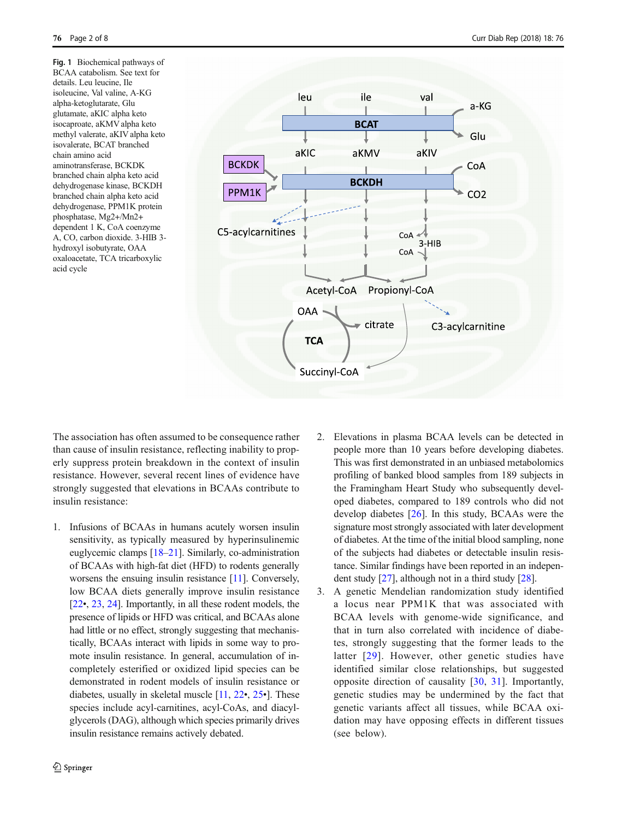<span id="page-1-0"></span>Fig. 1 Biochemical pathways of BCAA catabolism. See text for details. Leu leucine, Ile isoleucine, Val valine, A-KG alpha-ketoglutarate, Glu glutamate, aKIC alpha keto isocaproate, aKMV alpha keto methyl valerate, aKIV alpha keto isovalerate, BCAT branched chain amino acid aminotransferase, BCKDK branched chain alpha keto acid dehydrogenase kinase, BCKDH branched chain alpha keto acid dehydrogenase, PPM1K protein phosphatase, Mg2+/Mn2+ dependent 1 K, CoA coenzyme A, CO, carbon dioxide. 3-HIB 3 hydroxyl isobutyrate, OAA oxaloacetate, TCA tricarboxylic acid cycle



The association has often assumed to be consequence rather than cause of insulin resistance, reflecting inability to properly suppress protein breakdown in the context of insulin resistance. However, several recent lines of evidence have strongly suggested that elevations in BCAAs contribute to insulin resistance:

1. Infusions of BCAAs in humans acutely worsen insulin sensitivity, as typically measured by hyperinsulinemic euglycemic clamps [\[18](#page-5-0)–[21](#page-5-0)]. Similarly, co-administration of BCAAs with high-fat diet (HFD) to rodents generally worsens the ensuing insulin resistance [[11](#page-5-0)]. Conversely, low BCAA diets generally improve insulin resistance [\[22](#page-6-0)•, [23](#page-6-0), [24](#page-6-0)]. Importantly, in all these rodent models, the presence of lipids or HFD was critical, and BCAAs alone had little or no effect, strongly suggesting that mechanistically, BCAAs interact with lipids in some way to promote insulin resistance. In general, accumulation of incompletely esterified or oxidized lipid species can be demonstrated in rodent models of insulin resistance or diabetes, usually in skeletal muscle [\[11,](#page-5-0) [22](#page-6-0)•, [25](#page-6-0)•]. These species include acyl-carnitines, acyl-CoAs, and diacylglycerols (DAG), although which species primarily drives insulin resistance remains actively debated.

- 2. Elevations in plasma BCAA levels can be detected in people more than 10 years before developing diabetes. This was first demonstrated in an unbiased metabolomics profiling of banked blood samples from 189 subjects in the Framingham Heart Study who subsequently developed diabetes, compared to 189 controls who did not develop diabetes [\[26](#page-6-0)]. In this study, BCAAs were the signature most strongly associated with later development of diabetes. At the time of the initial blood sampling, none of the subjects had diabetes or detectable insulin resistance. Similar findings have been reported in an independent study [[27](#page-6-0)], although not in a third study [\[28\]](#page-6-0).
- 3. A genetic Mendelian randomization study identified a locus near PPM1K that was associated with BCAA levels with genome-wide significance, and that in turn also correlated with incidence of diabetes, strongly suggesting that the former leads to the latter [[29\]](#page-6-0). However, other genetic studies have identified similar close relationships, but suggested opposite direction of causality [\[30](#page-6-0), [31](#page-6-0)]. Importantly, genetic studies may be undermined by the fact that genetic variants affect all tissues, while BCAA oxidation may have opposing effects in different tissues (see below).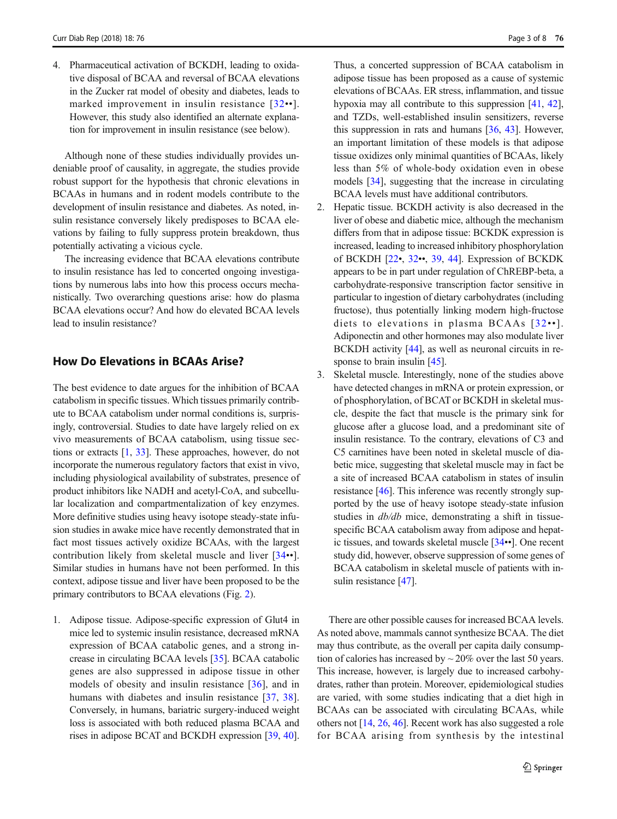4. Pharmaceutical activation of BCKDH, leading to oxidative disposal of BCAA and reversal of BCAA elevations in the Zucker rat model of obesity and diabetes, leads to marked improvement in insulin resistance [[32](#page-6-0)••]. However, this study also identified an alternate explanation for improvement in insulin resistance (see below).

Although none of these studies individually provides undeniable proof of causality, in aggregate, the studies provide robust support for the hypothesis that chronic elevations in BCAAs in humans and in rodent models contribute to the development of insulin resistance and diabetes. As noted, insulin resistance conversely likely predisposes to BCAA elevations by failing to fully suppress protein breakdown, thus potentially activating a vicious cycle.

The increasing evidence that BCAA elevations contribute to insulin resistance has led to concerted ongoing investigations by numerous labs into how this process occurs mechanistically. Two overarching questions arise: how do plasma BCAA elevations occur? And how do elevated BCAA levels lead to insulin resistance?

## How Do Elevations in BCAAs Arise?

The best evidence to date argues for the inhibition of BCAA catabolism in specific tissues. Which tissues primarily contribute to BCAA catabolism under normal conditions is, surprisingly, controversial. Studies to date have largely relied on ex vivo measurements of BCAA catabolism, using tissue sections or extracts [\[1](#page-5-0), [33\]](#page-6-0). These approaches, however, do not incorporate the numerous regulatory factors that exist in vivo, including physiological availability of substrates, presence of product inhibitors like NADH and acetyl-CoA, and subcellular localization and compartmentalization of key enzymes. More definitive studies using heavy isotope steady-state infusion studies in awake mice have recently demonstrated that in fact most tissues actively oxidize BCAAs, with the largest contribution likely from skeletal muscle and liver [\[34](#page-6-0)••]. Similar studies in humans have not been performed. In this context, adipose tissue and liver have been proposed to be the primary contributors to BCAA elevations (Fig. [2](#page-3-0)).

1. Adipose tissue. Adipose-specific expression of Glut4 in mice led to systemic insulin resistance, decreased mRNA expression of BCAA catabolic genes, and a strong increase in circulating BCAA levels [\[35](#page-6-0)]. BCAA catabolic genes are also suppressed in adipose tissue in other models of obesity and insulin resistance [[36\]](#page-6-0), and in humans with diabetes and insulin resistance [[37,](#page-6-0) [38](#page-6-0)]. Conversely, in humans, bariatric surgery-induced weight loss is associated with both reduced plasma BCAA and rises in adipose BCAT and BCKDH expression [[39](#page-6-0), [40\]](#page-6-0). Thus, a concerted suppression of BCAA catabolism in adipose tissue has been proposed as a cause of systemic elevations of BCAAs. ER stress, inflammation, and tissue hypoxia may all contribute to this suppression [\[41,](#page-6-0) [42\]](#page-6-0), and TZDs, well-established insulin sensitizers, reverse this suppression in rats and humans [[36,](#page-6-0) [43](#page-6-0)]. However, an important limitation of these models is that adipose tissue oxidizes only minimal quantities of BCAAs, likely less than 5% of whole-body oxidation even in obese models [\[34](#page-6-0)], suggesting that the increase in circulating BCAA levels must have additional contributors.

- 2. Hepatic tissue. BCKDH activity is also decreased in the liver of obese and diabetic mice, although the mechanism differs from that in adipose tissue: BCKDK expression is increased, leading to increased inhibitory phosphorylation of BCKDH [\[22](#page-6-0)•, [32](#page-6-0)••, [39,](#page-6-0) [44](#page-6-0)]. Expression of BCKDK appears to be in part under regulation of ChREBP-beta, a carbohydrate-responsive transcription factor sensitive in particular to ingestion of dietary carbohydrates (including fructose), thus potentially linking modern high-fructose diets to elevations in plasma BCAAs [[32](#page-6-0)••]. Adiponectin and other hormones may also modulate liver BCKDH activity [[44](#page-6-0)], as well as neuronal circuits in re-sponse to brain insulin [\[45\]](#page-6-0).
- 3. Skeletal muscle. Interestingly, none of the studies above have detected changes in mRNA or protein expression, or of phosphorylation, of BCAT or BCKDH in skeletal muscle, despite the fact that muscle is the primary sink for glucose after a glucose load, and a predominant site of insulin resistance. To the contrary, elevations of C3 and C5 carnitines have been noted in skeletal muscle of diabetic mice, suggesting that skeletal muscle may in fact be a site of increased BCAA catabolism in states of insulin resistance [[46\]](#page-6-0). This inference was recently strongly supported by the use of heavy isotope steady-state infusion studies in  $db/db$  mice, demonstrating a shift in tissuespecific BCAA catabolism away from adipose and hepatic tissues, and towards skeletal muscle [\[34](#page-6-0)••]. One recent study did, however, observe suppression of some genes of BCAA catabolism in skeletal muscle of patients with insulin resistance [\[47](#page-6-0)].

There are other possible causes for increased BCAA levels. As noted above, mammals cannot synthesize BCAA. The diet may thus contribute, as the overall per capita daily consumption of calories has increased by  $\sim$  20% over the last 50 years. This increase, however, is largely due to increased carbohydrates, rather than protein. Moreover, epidemiological studies are varied, with some studies indicating that a diet high in BCAAs can be associated with circulating BCAAs, while others not [\[14,](#page-5-0) [26](#page-6-0), [46](#page-6-0)]. Recent work has also suggested a role for BCAA arising from synthesis by the intestinal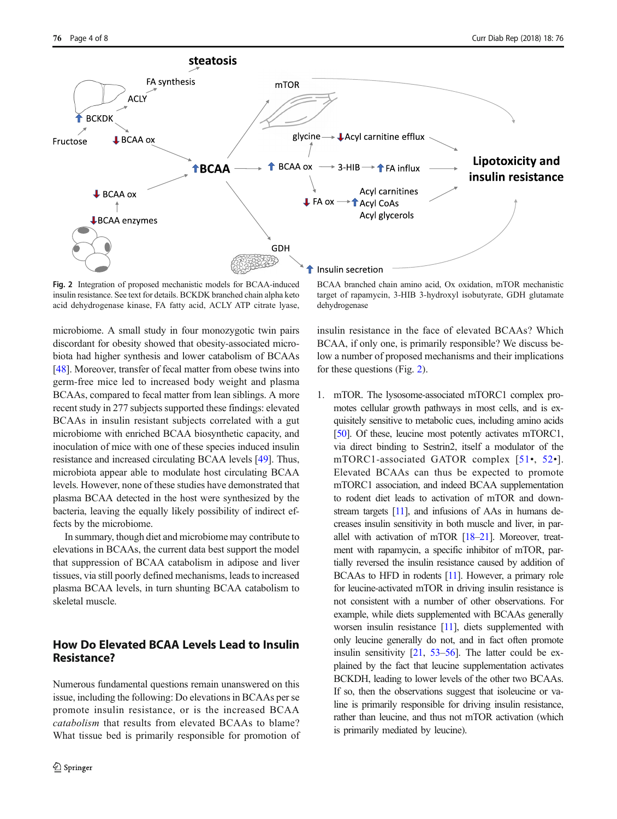<span id="page-3-0"></span>

Fig. 2 Integration of proposed mechanistic models for BCAA-induced insulin resistance. See text for details. BCKDK branched chain alpha keto acid dehydrogenase kinase, FA fatty acid, ACLY ATP citrate lyase,

microbiome. A small study in four monozygotic twin pairs discordant for obesity showed that obesity-associated microbiota had higher synthesis and lower catabolism of BCAAs [\[48\]](#page-6-0). Moreover, transfer of fecal matter from obese twins into germ-free mice led to increased body weight and plasma BCAAs, compared to fecal matter from lean siblings. A more recent study in 277 subjects supported these findings: elevated BCAAs in insulin resistant subjects correlated with a gut microbiome with enriched BCAA biosynthetic capacity, and inoculation of mice with one of these species induced insulin resistance and increased circulating BCAA levels [\[49\]](#page-6-0). Thus, microbiota appear able to modulate host circulating BCAA levels. However, none of these studies have demonstrated that plasma BCAA detected in the host were synthesized by the bacteria, leaving the equally likely possibility of indirect effects by the microbiome.

In summary, though diet and microbiome may contribute to elevations in BCAAs, the current data best support the model that suppression of BCAA catabolism in adipose and liver tissues, via still poorly defined mechanisms, leads to increased plasma BCAA levels, in turn shunting BCAA catabolism to skeletal muscle.

# How Do Elevated BCAA Levels Lead to Insulin Resistance?

Numerous fundamental questions remain unanswered on this issue, including the following: Do elevations in BCAAs per se promote insulin resistance, or is the increased BCAA catabolism that results from elevated BCAAs to blame? What tissue bed is primarily responsible for promotion of

BCAA branched chain amino acid, Ox oxidation, mTOR mechanistic target of rapamycin, 3-HIB 3-hydroxyl isobutyrate, GDH glutamate dehydrogenase

insulin resistance in the face of elevated BCAAs? Which BCAA, if only one, is primarily responsible? We discuss below a number of proposed mechanisms and their implications for these questions (Fig. 2).

1. mTOR. The lysosome-associated mTORC1 complex promotes cellular growth pathways in most cells, and is exquisitely sensitive to metabolic cues, including amino acids [\[50\]](#page-6-0). Of these, leucine most potently activates mTORC1, via direct binding to Sestrin2, itself a modulator of the mTORC1-associated GATOR complex [[51](#page-6-0)•, [52](#page-6-0)•]. Elevated BCAAs can thus be expected to promote mTORC1 association, and indeed BCAA supplementation to rodent diet leads to activation of mTOR and downstream targets [[11\]](#page-5-0), and infusions of AAs in humans decreases insulin sensitivity in both muscle and liver, in parallel with activation of mTOR [\[18](#page-5-0)–[21\]](#page-5-0). Moreover, treatment with rapamycin, a specific inhibitor of mTOR, partially reversed the insulin resistance caused by addition of BCAAs to HFD in rodents [[11\]](#page-5-0). However, a primary role for leucine-activated mTOR in driving insulin resistance is not consistent with a number of other observations. For example, while diets supplemented with BCAAs generally worsen insulin resistance [[11\]](#page-5-0), diets supplemented with only leucine generally do not, and in fact often promote insulin sensitivity [\[21](#page-5-0), [53](#page-6-0)–[56\]](#page-7-0). The latter could be explained by the fact that leucine supplementation activates BCKDH, leading to lower levels of the other two BCAAs. If so, then the observations suggest that isoleucine or valine is primarily responsible for driving insulin resistance, rather than leucine, and thus not mTOR activation (which is primarily mediated by leucine).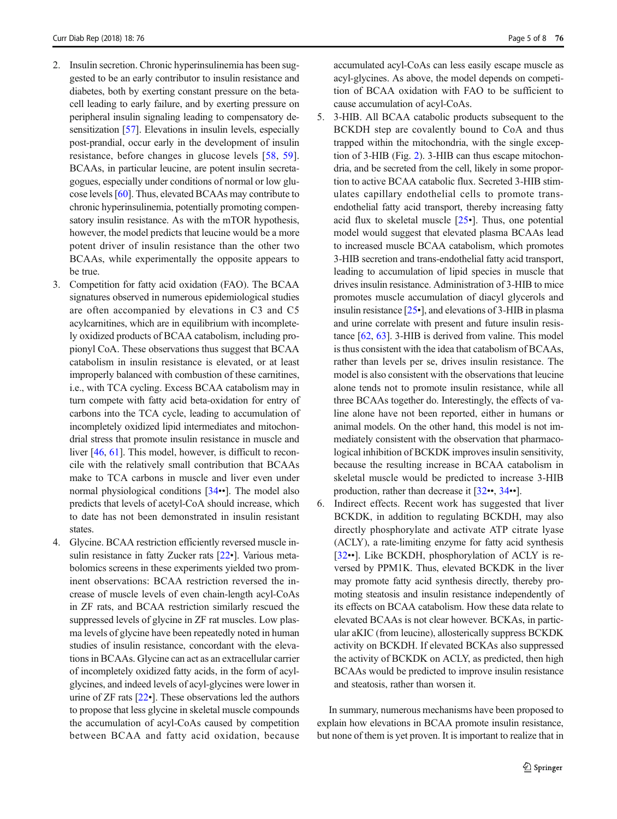- 2. Insulin secretion. Chronic hyperinsulinemia has been suggested to be an early contributor to insulin resistance and diabetes, both by exerting constant pressure on the betacell leading to early failure, and by exerting pressure on peripheral insulin signaling leading to compensatory de-sensitization [\[57](#page-7-0)]. Elevations in insulin levels, especially post-prandial, occur early in the development of insulin resistance, before changes in glucose levels [[58,](#page-7-0) [59](#page-7-0)]. BCAAs, in particular leucine, are potent insulin secretagogues, especially under conditions of normal or low glucose levels [[60\]](#page-7-0). Thus, elevated BCAAs may contribute to chronic hyperinsulinemia, potentially promoting compensatory insulin resistance. As with the mTOR hypothesis, however, the model predicts that leucine would be a more potent driver of insulin resistance than the other two BCAAs, while experimentally the opposite appears to be true.
- 3. Competition for fatty acid oxidation (FAO). The BCAA signatures observed in numerous epidemiological studies are often accompanied by elevations in C3 and C5 acylcarnitines, which are in equilibrium with incompletely oxidized products of BCAA catabolism, including propionyl CoA. These observations thus suggest that BCAA catabolism in insulin resistance is elevated, or at least improperly balanced with combustion of these carnitines, i.e., with TCA cycling. Excess BCAA catabolism may in turn compete with fatty acid beta-oxidation for entry of carbons into the TCA cycle, leading to accumulation of incompletely oxidized lipid intermediates and mitochondrial stress that promote insulin resistance in muscle and liver [[46](#page-6-0), [61](#page-7-0)]. This model, however, is difficult to reconcile with the relatively small contribution that BCAAs make to TCA carbons in muscle and liver even under normal physiological conditions [\[34](#page-6-0)••]. The model also predicts that levels of acetyl-CoA should increase, which to date has not been demonstrated in insulin resistant states.
- 4. Glycine. BCAA restriction efficiently reversed muscle insulin resistance in fatty Zucker rats [\[22](#page-6-0)•]. Various metabolomics screens in these experiments yielded two prominent observations: BCAA restriction reversed the increase of muscle levels of even chain-length acyl-CoAs in ZF rats, and BCAA restriction similarly rescued the suppressed levels of glycine in ZF rat muscles. Low plasma levels of glycine have been repeatedly noted in human studies of insulin resistance, concordant with the elevations in BCAAs. Glycine can act as an extracellular carrier of incompletely oxidized fatty acids, in the form of acylglycines, and indeed levels of acyl-glycines were lower in urine of ZF rats [[22](#page-6-0)•]. These observations led the authors to propose that less glycine in skeletal muscle compounds the accumulation of acyl-CoAs caused by competition between BCAA and fatty acid oxidation, because

accumulated acyl-CoAs can less easily escape muscle as acyl-glycines. As above, the model depends on competition of BCAA oxidation with FAO to be sufficient to cause accumulation of acyl-CoAs.

- 5. 3-HIB. All BCAA catabolic products subsequent to the BCKDH step are covalently bound to CoA and thus trapped within the mitochondria, with the single exception of 3-HIB (Fig. [2\)](#page-3-0). 3-HIB can thus escape mitochondria, and be secreted from the cell, likely in some proportion to active BCAA catabolic flux. Secreted 3-HIB stimulates capillary endothelial cells to promote transendothelial fatty acid transport, thereby increasing fatty acid flux to skeletal muscle [\[25](#page-6-0)•]. Thus, one potential model would suggest that elevated plasma BCAAs lead to increased muscle BCAA catabolism, which promotes 3-HIB secretion and trans-endothelial fatty acid transport, leading to accumulation of lipid species in muscle that drives insulin resistance. Administration of 3-HIB to mice promotes muscle accumulation of diacyl glycerols and insulin resistance [\[25](#page-6-0)•], and elevations of 3-HIB in plasma and urine correlate with present and future insulin resistance [\[62](#page-7-0), [63](#page-7-0)]. 3-HIB is derived from valine. This model is thus consistent with the idea that catabolism of BCAAs, rather than levels per se, drives insulin resistance. The model is also consistent with the observations that leucine alone tends not to promote insulin resistance, while all three BCAAs together do. Interestingly, the effects of valine alone have not been reported, either in humans or animal models. On the other hand, this model is not immediately consistent with the observation that pharmacological inhibition of BCKDK improves insulin sensitivity, because the resulting increase in BCAA catabolism in skeletal muscle would be predicted to increase 3-HIB production, rather than decrease it [\[32](#page-6-0)••, [34](#page-6-0)••].
- 6. Indirect effects. Recent work has suggested that liver BCKDK, in addition to regulating BCKDH, may also directly phosphorylate and activate ATP citrate lyase (ACLY), a rate-limiting enzyme for fatty acid synthesis [[32](#page-6-0)••]. Like BCKDH, phosphorylation of ACLY is reversed by PPM1K. Thus, elevated BCKDK in the liver may promote fatty acid synthesis directly, thereby promoting steatosis and insulin resistance independently of its effects on BCAA catabolism. How these data relate to elevated BCAAs is not clear however. BCKAs, in particular aKIC (from leucine), allosterically suppress BCKDK activity on BCKDH. If elevated BCKAs also suppressed the activity of BCKDK on ACLY, as predicted, then high BCAAs would be predicted to improve insulin resistance and steatosis, rather than worsen it.

In summary, numerous mechanisms have been proposed to explain how elevations in BCAA promote insulin resistance, but none of them is yet proven. It is important to realize that in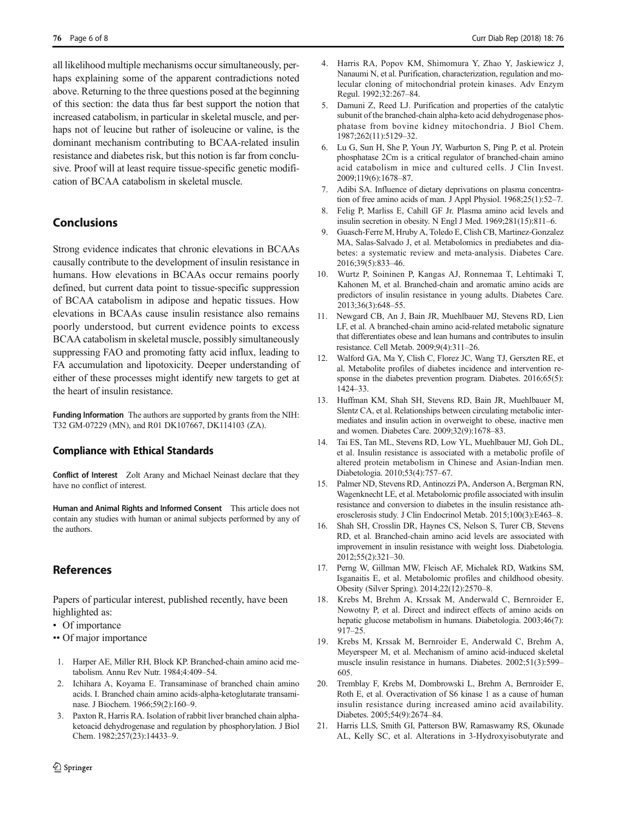<span id="page-5-0"></span>all likelihood multiple mechanisms occur simultaneously, perhaps explaining some of the apparent contradictions noted above. Returning to the three questions posed at the beginning of this section: the data thus far best support the notion that increased catabolism, in particular in skeletal muscle, and perhaps not of leucine but rather of isoleucine or valine, is the dominant mechanism contributing to BCAA-related insulin resistance and diabetes risk, but this notion is far from conclusive. Proof will at least require tissue-specific genetic modification of BCAA catabolism in skeletal muscle.

## **Conclusions**

Strong evidence indicates that chronic elevations in BCAAs causally contribute to the development of insulin resistance in humans. How elevations in BCAAs occur remains poorly defined, but current data point to tissue-specific suppression of BCAA catabolism in adipose and hepatic tissues. How elevations in BCAAs cause insulin resistance also remains poorly understood, but current evidence points to excess BCAA catabolism in skeletal muscle, possibly simultaneously suppressing FAO and promoting fatty acid influx, leading to FA accumulation and lipotoxicity. Deeper understanding of either of these processes might identify new targets to get at the heart of insulin resistance.

Funding Information The authors are supported by grants from the NIH: T32 GM-07229 (MN), and R01 DK107667, DK114103 (ZA).

#### Compliance with Ethical Standards

Conflict of Interest Zolt Arany and Michael Neinast declare that they have no conflict of interest.

Human and Animal Rights and Informed Consent This article does not contain any studies with human or animal subjects performed by any of the authors.

#### References

Papers of particular interest, published recently, have been highlighted as:

- Of importance
- •• Of major importance
- 1. Harper AE, Miller RH, Block KP. Branched-chain amino acid metabolism. Annu Rev Nutr. 1984;4:409–54.
- 2. Ichihara A, Koyama E. Transaminase of branched chain amino acids. I. Branched chain amino acids-alpha-ketoglutarate transaminase. J Biochem. 1966;59(2):160–9.
- 3. Paxton R, Harris RA. Isolation of rabbit liver branched chain alphaketoacid dehydrogenase and regulation by phosphorylation. J Biol Chem. 1982;257(23):14433–9.
- 4. Harris RA, Popov KM, Shimomura Y, Zhao Y, Jaskiewicz J, Nanaumi N, et al. Purification, characterization, regulation and molecular cloning of mitochondrial protein kinases. Adv Enzym Regul. 1992;32:267–84.
- 5. Damuni Z, Reed LJ. Purification and properties of the catalytic subunit of the branched-chain alpha-keto acid dehydrogenase phosphatase from bovine kidney mitochondria. J Biol Chem. 1987;262(11):5129–32.
- 6. Lu G, Sun H, She P, Youn JY, Warburton S, Ping P, et al. Protein phosphatase 2Cm is a critical regulator of branched-chain amino acid catabolism in mice and cultured cells. J Clin Invest. 2009;119(6):1678–87.
- 7. Adibi SA. Influence of dietary deprivations on plasma concentration of free amino acids of man. J Appl Physiol. 1968;25(1):52–7.
- 8. Felig P, Marliss E, Cahill GF Jr. Plasma amino acid levels and insulin secretion in obesity. N Engl J Med. 1969;281(15):811–6.
- 9. Guasch-Ferre M, Hruby A, Toledo E, Clish CB, Martinez-Gonzalez MA, Salas-Salvado J, et al. Metabolomics in prediabetes and diabetes: a systematic review and meta-analysis. Diabetes Care. 2016;39(5):833–46.
- 10. Wurtz P, Soininen P, Kangas AJ, Ronnemaa T, Lehtimaki T, Kahonen M, et al. Branched-chain and aromatic amino acids are predictors of insulin resistance in young adults. Diabetes Care. 2013;36(3):648–55.
- 11. Newgard CB, An J, Bain JR, Muehlbauer MJ, Stevens RD, Lien LF, et al. A branched-chain amino acid-related metabolic signature that differentiates obese and lean humans and contributes to insulin resistance. Cell Metab. 2009;9(4):311–26.
- 12. Walford GA, Ma Y, Clish C, Florez JC, Wang TJ, Gerszten RE, et al. Metabolite profiles of diabetes incidence and intervention response in the diabetes prevention program. Diabetes. 2016;65(5): 1424–33.
- 13. Huffman KM, Shah SH, Stevens RD, Bain JR, Muehlbauer M, Slentz CA, et al. Relationships between circulating metabolic intermediates and insulin action in overweight to obese, inactive men and women. Diabetes Care. 2009;32(9):1678–83.
- 14. Tai ES, Tan ML, Stevens RD, Low YL, Muehlbauer MJ, Goh DL, et al. Insulin resistance is associated with a metabolic profile of altered protein metabolism in Chinese and Asian-Indian men. Diabetologia. 2010;53(4):757–67.
- 15. Palmer ND, Stevens RD, Antinozzi PA, Anderson A, Bergman RN, Wagenknecht LE, et al. Metabolomic profile associated with insulin resistance and conversion to diabetes in the insulin resistance atherosclerosis study. J Clin Endocrinol Metab. 2015;100(3):E463–8.
- 16. Shah SH, Crosslin DR, Haynes CS, Nelson S, Turer CB, Stevens RD, et al. Branched-chain amino acid levels are associated with improvement in insulin resistance with weight loss. Diabetologia. 2012;55(2):321–30.
- 17. Perng W, Gillman MW, Fleisch AF, Michalek RD, Watkins SM, Isganaitis E, et al. Metabolomic profiles and childhood obesity. Obesity (Silver Spring). 2014;22(12):2570–8.
- 18. Krebs M, Brehm A, Krssak M, Anderwald C, Bernroider E, Nowotny P, et al. Direct and indirect effects of amino acids on hepatic glucose metabolism in humans. Diabetologia. 2003;46(7): 917–25.
- 19. Krebs M, Krssak M, Bernroider E, Anderwald C, Brehm A, Meyerspeer M, et al. Mechanism of amino acid-induced skeletal muscle insulin resistance in humans. Diabetes. 2002;51(3):599– 605.
- 20. Tremblay F, Krebs M, Dombrowski L, Brehm A, Bernroider E, Roth E, et al. Overactivation of S6 kinase 1 as a cause of human insulin resistance during increased amino acid availability. Diabetes. 2005;54(9):2674–84.
- 21. Harris LLS, Smith GI, Patterson BW, Ramaswamy RS, Okunade AL, Kelly SC, et al. Alterations in 3-Hydroxyisobutyrate and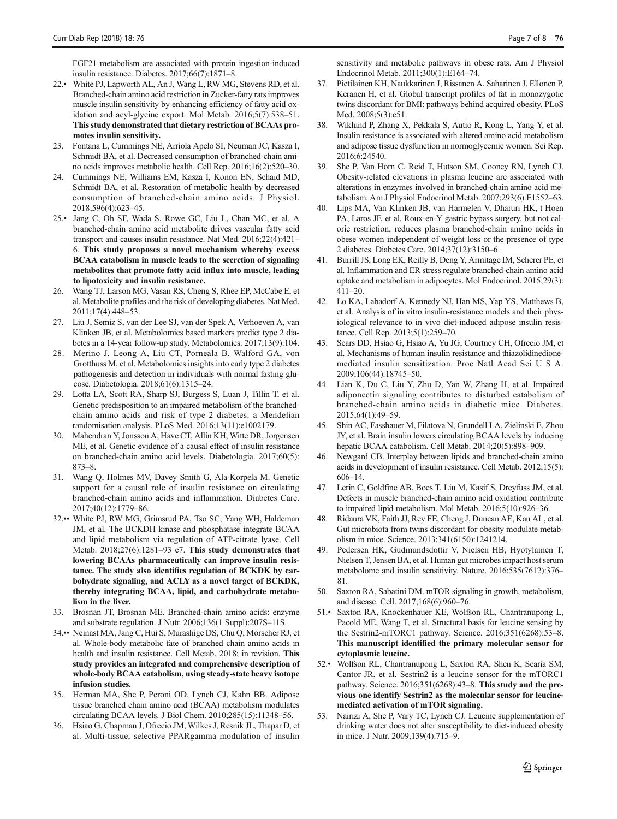<span id="page-6-0"></span>FGF21 metabolism are associated with protein ingestion-induced insulin resistance. Diabetes. 2017;66(7):1871–8.

- 22.• White PJ, Lapworth AL, An J, Wang L, RW MG, Stevens RD, et al. Branched-chain amino acid restriction in Zucker-fatty rats improves muscle insulin sensitivity by enhancing efficiency of fatty acid oxidation and acyl-glycine export. Mol Metab. 2016;5(7):538–51. This study demonstrated that dietary restriction of BCAAs promotes insulin sensitivity.
- 23. Fontana L, Cummings NE, Arriola Apelo SI, Neuman JC, Kasza I, Schmidt BA, et al. Decreased consumption of branched-chain amino acids improves metabolic health. Cell Rep. 2016;16(2):520–30.
- 24. Cummings NE, Williams EM, Kasza I, Konon EN, Schaid MD, Schmidt BA, et al. Restoration of metabolic health by decreased consumption of branched-chain amino acids. J Physiol. 2018;596(4):623–45.
- 25.• Jang C, Oh SF, Wada S, Rowe GC, Liu L, Chan MC, et al. A branched-chain amino acid metabolite drives vascular fatty acid transport and causes insulin resistance. Nat Med. 2016;22(4):421– 6. This study proposes a novel mechanism whereby excess BCAA catabolism in muscle leads to the secretion of signaling metabolites that promote fatty acid influx into muscle, leading to lipotoxicity and insulin resistance.
- 26. Wang TJ, Larson MG, Vasan RS, Cheng S, Rhee EP, McCabe E, et al. Metabolite profiles and the risk of developing diabetes. Nat Med. 2011;17(4):448–53.
- 27. Liu J, Semiz S, van der Lee SJ, van der Spek A, Verhoeven A, van Klinken JB, et al. Metabolomics based markers predict type 2 diabetes in a 14-year follow-up study. Metabolomics. 2017;13(9):104.
- 28. Merino J, Leong A, Liu CT, Porneala B, Walford GA, von Grotthuss M, et al. Metabolomics insights into early type 2 diabetes pathogenesis and detection in individuals with normal fasting glucose. Diabetologia. 2018;61(6):1315–24.
- 29. Lotta LA, Scott RA, Sharp SJ, Burgess S, Luan J, Tillin T, et al. Genetic predisposition to an impaired metabolism of the branchedchain amino acids and risk of type 2 diabetes: a Mendelian randomisation analysis. PLoS Med. 2016;13(11):e1002179.
- 30. Mahendran Y, Jonsson A, Have CT, Allin KH, Witte DR, Jorgensen ME, et al. Genetic evidence of a causal effect of insulin resistance on branched-chain amino acid levels. Diabetologia. 2017;60(5): 873–8.
- 31. Wang Q, Holmes MV, Davey Smith G, Ala-Korpela M. Genetic support for a causal role of insulin resistance on circulating branched-chain amino acids and inflammation. Diabetes Care. 2017;40(12):1779–86.
- 32.•• White PJ, RW MG, Grimsrud PA, Tso SC, Yang WH, Haldeman JM, et al. The BCKDH kinase and phosphatase integrate BCAA and lipid metabolism via regulation of ATP-citrate lyase. Cell Metab. 2018;27(6):1281–93 e7. This study demonstrates that lowering BCAAs pharmaceutically can improve insulin resistance. The study also identifies regulation of BCKDK by carbohydrate signaling, and ACLY as a novel target of BCKDK, thereby integrating BCAA, lipid, and carbohydrate metabolism in the liver.
- 33. Brosnan JT, Brosnan ME. Branched-chain amino acids: enzyme and substrate regulation. J Nutr. 2006;136(1 Suppl):207S–11S.
- 34.•• Neinast MA, Jang C, Hui S, Murashige DS, Chu Q, Morscher RJ, et al. Whole-body metabolic fate of branched chain amino acids in health and insulin resistance. Cell Metab. 2018; in revision. This study provides an integrated and comprehensive description of whole-body BCAA catabolism, using steady-state heavy isotope infusion studies.
- 35. Herman MA, She P, Peroni OD, Lynch CJ, Kahn BB. Adipose tissue branched chain amino acid (BCAA) metabolism modulates circulating BCAA levels. J Biol Chem. 2010;285(15):11348–56.
- 36. Hsiao G, Chapman J, Ofrecio JM, Wilkes J, Resnik JL, Thapar D, et al. Multi-tissue, selective PPARgamma modulation of insulin

sensitivity and metabolic pathways in obese rats. Am J Physiol Endocrinol Metab. 2011;300(1):E164–74.

- 37. Pietilainen KH, Naukkarinen J, Rissanen A, Saharinen J, Ellonen P, Keranen H, et al. Global transcript profiles of fat in monozygotic twins discordant for BMI: pathways behind acquired obesity. PLoS Med. 2008;5(3):e51.
- 38. Wiklund P, Zhang X, Pekkala S, Autio R, Kong L, Yang Y, et al. Insulin resistance is associated with altered amino acid metabolism and adipose tissue dysfunction in normoglycemic women. Sci Rep. 2016;6:24540.
- She P, Van Horn C, Reid T, Hutson SM, Cooney RN, Lynch CJ. Obesity-related elevations in plasma leucine are associated with alterations in enzymes involved in branched-chain amino acid metabolism. Am J Physiol Endocrinol Metab. 2007;293(6):E1552–63.
- 40. Lips MA, Van Klinken JB, van Harmelen V, Dharuri HK, t Hoen PA, Laros JF, et al. Roux-en-Y gastric bypass surgery, but not calorie restriction, reduces plasma branched-chain amino acids in obese women independent of weight loss or the presence of type 2 diabetes. Diabetes Care. 2014;37(12):3150–6.
- 41. Burrill JS, Long EK, Reilly B, Deng Y, Armitage IM, Scherer PE, et al. Inflammation and ER stress regulate branched-chain amino acid uptake and metabolism in adipocytes. Mol Endocrinol. 2015;29(3): 411–20.
- 42. Lo KA, Labadorf A, Kennedy NJ, Han MS, Yap YS, Matthews B, et al. Analysis of in vitro insulin-resistance models and their physiological relevance to in vivo diet-induced adipose insulin resistance. Cell Rep. 2013;5(1):259–70.
- 43. Sears DD, Hsiao G, Hsiao A, Yu JG, Courtney CH, Ofrecio JM, et al. Mechanisms of human insulin resistance and thiazolidinedionemediated insulin sensitization. Proc Natl Acad Sci U S A. 2009;106(44):18745–50.
- 44. Lian K, Du C, Liu Y, Zhu D, Yan W, Zhang H, et al. Impaired adiponectin signaling contributes to disturbed catabolism of branched-chain amino acids in diabetic mice. Diabetes. 2015;64(1):49–59.
- 45. Shin AC, Fasshauer M, Filatova N, Grundell LA, Zielinski E, Zhou JY, et al. Brain insulin lowers circulating BCAA levels by inducing hepatic BCAA catabolism. Cell Metab. 2014;20(5):898–909.
- 46. Newgard CB. Interplay between lipids and branched-chain amino acids in development of insulin resistance. Cell Metab. 2012;15(5): 606–14.
- 47. Lerin C, Goldfine AB, Boes T, Liu M, Kasif S, Dreyfuss JM, et al. Defects in muscle branched-chain amino acid oxidation contribute to impaired lipid metabolism. Mol Metab. 2016;5(10):926–36.
- 48. Ridaura VK, Faith JJ, Rey FE, Cheng J, Duncan AE, Kau AL, et al. Gut microbiota from twins discordant for obesity modulate metabolism in mice. Science. 2013;341(6150):1241214.
- 49. Pedersen HK, Gudmundsdottir V, Nielsen HB, Hyotylainen T, Nielsen T, Jensen BA, et al. Human gut microbes impact host serum metabolome and insulin sensitivity. Nature. 2016;535(7612):376– 81.
- 50. Saxton RA, Sabatini DM. mTOR signaling in growth, metabolism, and disease. Cell. 2017;168(6):960–76.
- 51.• Saxton RA, Knockenhauer KE, Wolfson RL, Chantranupong L, Pacold ME, Wang T, et al. Structural basis for leucine sensing by the Sestrin2-mTORC1 pathway. Science. 2016;351(6268):53–8. This manuscript identified the primary molecular sensor for cytoplasmic leucine.
- 52.• Wolfson RL, Chantranupong L, Saxton RA, Shen K, Scaria SM, Cantor JR, et al. Sestrin2 is a leucine sensor for the mTORC1 pathway. Science. 2016;351(6268):43–8. This study and the previous one identify Sestrin2 as the molecular sensor for leucinemediated activation of mTOR signaling.
- 53. Nairizi A, She P, Vary TC, Lynch CJ. Leucine supplementation of drinking water does not alter susceptibility to diet-induced obesity in mice. J Nutr. 2009;139(4):715–9.